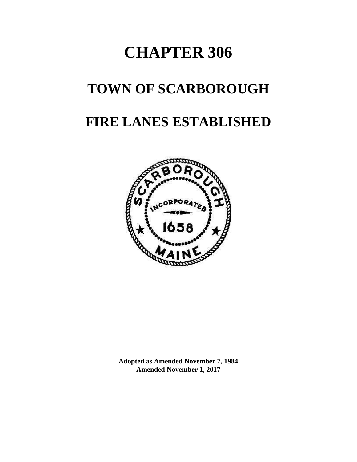# **CHAPTER 306**

## **TOWN OF SCARBOROUGH**

## **FIRE LANES ESTABLISHED**



**Adopted as Amended November 7, 1984 Amended November 1, 2017**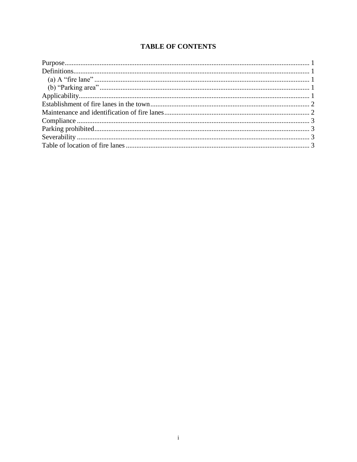## **TABLE OF CONTENTS**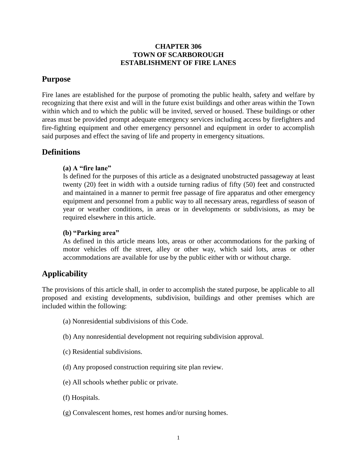#### **CHAPTER 306 TOWN OF SCARBOROUGH ESTABLISHMENT OF FIRE LANES**

## <span id="page-2-0"></span>**Purpose**

Fire lanes are established for the purpose of promoting the public health, safety and welfare by recognizing that there exist and will in the future exist buildings and other areas within the Town within which and to which the public will be invited, served or housed. These buildings or other areas must be provided prompt adequate emergency services including access by firefighters and fire-fighting equipment and other emergency personnel and equipment in order to accomplish said purposes and effect the saving of life and property in emergency situations.

### <span id="page-2-2"></span><span id="page-2-1"></span>**Definitions**

#### **(a) A "fire lane"**

Is defined for the purposes of this article as a designated unobstructed passageway at least twenty (20) feet in width with a outside turning radius of fifty (50) feet and constructed and maintained in a manner to permit free passage of fire apparatus and other emergency equipment and personnel from a public way to all necessary areas, regardless of season of year or weather conditions, in areas or in developments or subdivisions, as may be required elsewhere in this article.

#### <span id="page-2-3"></span>**(b) "Parking area"**

As defined in this article means lots, areas or other accommodations for the parking of motor vehicles off the street, alley or other way, which said lots, areas or other accommodations are available for use by the public either with or without charge.

## <span id="page-2-4"></span>**Applicability**

The provisions of this article shall, in order to accomplish the stated purpose, be applicable to all proposed and existing developments, subdivision, buildings and other premises which are included within the following:

- (a) Nonresidential subdivisions of this Code.
- (b) Any nonresidential development not requiring subdivision approval.
- (c) Residential subdivisions.
- (d) Any proposed construction requiring site plan review.
- (e) All schools whether public or private.
- (f) Hospitals.
- (g) Convalescent homes, rest homes and/or nursing homes.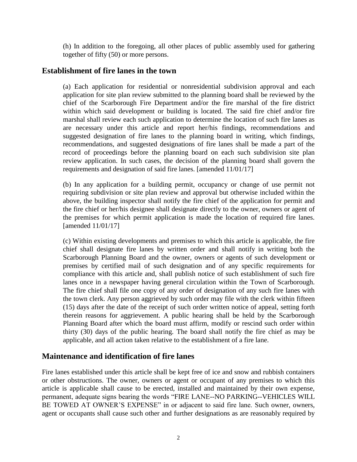(h) In addition to the foregoing, all other places of public assembly used for gathering together of fifty (50) or more persons.

#### <span id="page-3-0"></span>**Establishment of fire lanes in the town**

(a) Each application for residential or nonresidential subdivision approval and each application for site plan review submitted to the planning board shall be reviewed by the chief of the Scarborough Fire Department and/or the fire marshal of the fire district within which said development or building is located. The said fire chief and/or fire marshal shall review each such application to determine the location of such fire lanes as are necessary under this article and report her/his findings, recommendations and suggested designation of fire lanes to the planning board in writing, which findings, recommendations, and suggested designations of fire lanes shall be made a part of the record of proceedings before the planning board on each such subdivision site plan review application. In such cases, the decision of the planning board shall govern the requirements and designation of said fire lanes. [amended 11/01/17]

(b) In any application for a building permit, occupancy or change of use permit not requiring subdivision or site plan review and approval but otherwise included within the above, the building inspector shall notify the fire chief of the application for permit and the fire chief or her/his designee shall designate directly to the owner, owners or agent of the premises for which permit application is made the location of required fire lanes. [amended 11/01/17]

(c) Within existing developments and premises to which this article is applicable, the fire chief shall designate fire lanes by written order and shall notify in writing both the Scarborough Planning Board and the owner, owners or agents of such development or premises by certified mail of such designation and of any specific requirements for compliance with this article and, shall publish notice of such establishment of such fire lanes once in a newspaper having general circulation within the Town of Scarborough. The fire chief shall file one copy of any order of designation of any such fire lanes with the town clerk. Any person aggrieved by such order may file with the clerk within fifteen (15) days after the date of the receipt of such order written notice of appeal, setting forth therein reasons for aggrievement. A public hearing shall be held by the Scarborough Planning Board after which the board must affirm, modify or rescind such order within thirty (30) days of the public hearing. The board shall notify the fire chief as may be applicable, and all action taken relative to the establishment of a fire lane.

#### <span id="page-3-1"></span>**Maintenance and identification of fire lanes**

Fire lanes established under this article shall be kept free of ice and snow and rubbish containers or other obstructions. The owner, owners or agent or occupant of any premises to which this article is applicable shall cause to be erected, installed and maintained by their own expense, permanent, adequate signs bearing the words "FIRE LANE--NO PARKING--VEHICLES WILL BE TOWED AT OWNER'S EXPENSE" in or adjacent to said fire lane. Such owner, owners, agent or occupants shall cause such other and further designations as are reasonably required by